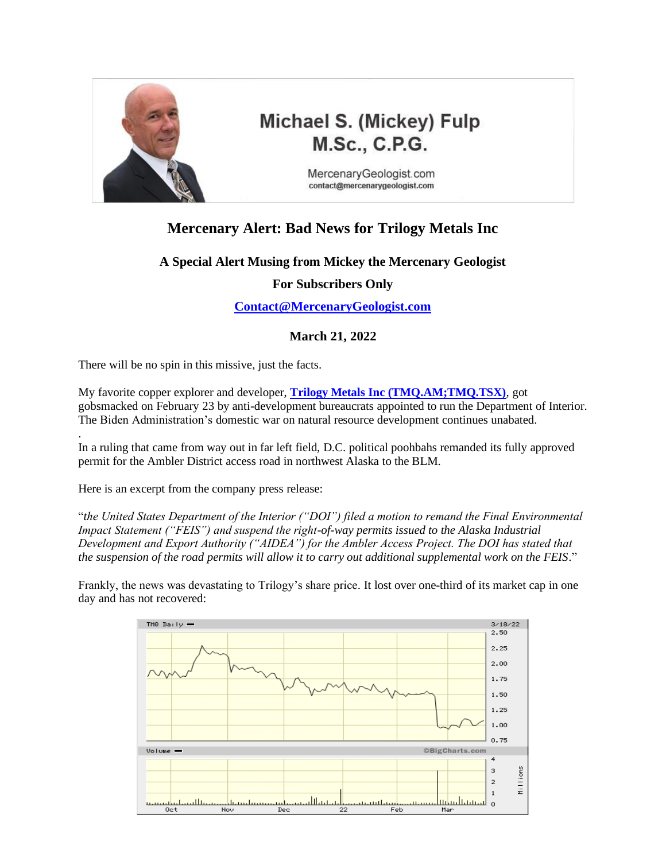

.

# **Michael S. (Mickey) Fulp** M.Sc., C.P.G.

MercenaryGeologist.com contact@mercenarygeologist.com

## **Mercenary Alert: Bad News for Trilogy Metals Inc**

### **A Special Alert Musing from Mickey the Mercenary Geologist**

### **For Subscribers Only**

**[Contact@MercenaryGeologist.com](mailto:Contact@MercenaryGeologist.com)**

### **March 21, 2022**

There will be no spin in this missive, just the facts.

My favorite copper explorer and developer, **[Trilogy Metals Inc \(TMQ.AM;TMQ.TSX\)](https://trilogymetals.com/)**, got gobsmacked on February 23 by anti-development bureaucrats appointed to run the Department of Interior. The Biden Administration's domestic war on natural resource development continues unabated.

In a ruling that came from way out in far left field, D.C. political poohbahs remanded its fully approved permit for the Ambler District access road in northwest Alaska to the BLM.

Here is an excerpt from the company press release:

"*the United States Department of the Interior ("DOI") filed a motion to remand the Final Environmental Impact Statement ("FEIS") and suspend the right-of-way permits issued to the Alaska Industrial Development and Export Authority ("AIDEA") for the Ambler Access Project. The DOI has stated that the suspension of the road permits will allow it to carry out additional supplemental work on the FEIS*."

Frankly, the news was devastating to Trilogy's share price. It lost over one-third of its market cap in one day and has not recovered:

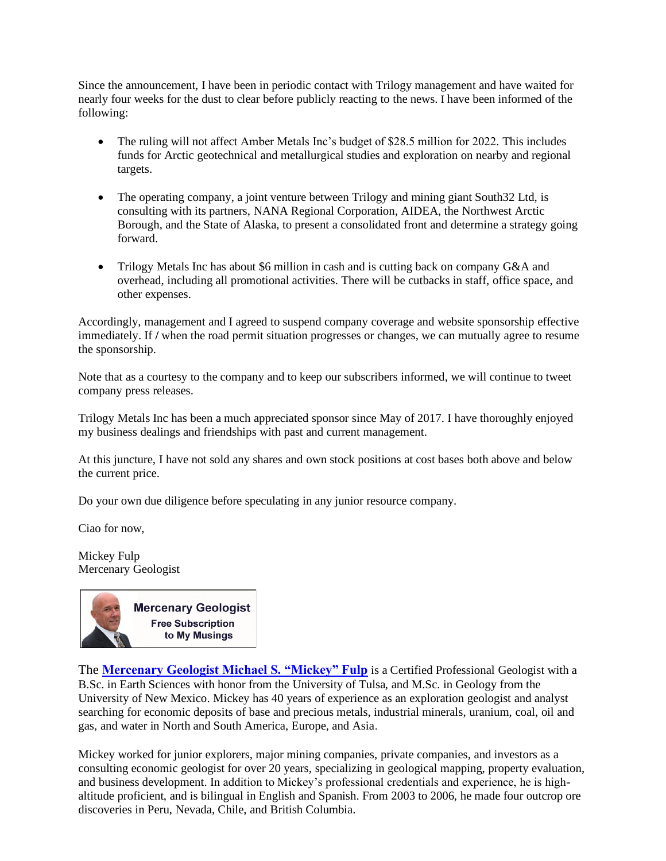Since the announcement, I have been in periodic contact with Trilogy management and have waited for nearly four weeks for the dust to clear before publicly reacting to the news. I have been informed of the following:

- The ruling will not affect Amber Metals Inc's budget of \$28.5 million for 2022. This includes funds for Arctic geotechnical and metallurgical studies and exploration on nearby and regional targets.
- The operating company, a joint venture between Trilogy and mining giant South32 Ltd, is consulting with its partners, NANA Regional Corporation, AIDEA, the Northwest Arctic Borough, and the State of Alaska, to present a consolidated front and determine a strategy going forward.
- Trilogy Metals Inc has about \$6 million in cash and is cutting back on company G&A and overhead, including all promotional activities. There will be cutbacks in staff, office space, and other expenses.

Accordingly, management and I agreed to suspend company coverage and website sponsorship effective immediately. If **/** when the road permit situation progresses or changes, we can mutually agree to resume the sponsorship.

Note that as a courtesy to the company and to keep our subscribers informed, we will continue to tweet company press releases.

Trilogy Metals Inc has been a much appreciated sponsor since May of 2017. I have thoroughly enjoyed my business dealings and friendships with past and current management.

At this juncture, I have not sold any shares and own stock positions at cost bases both above and below the current price.

Do your own due diligence before speculating in any junior resource company.

Ciao for now,

Mickey Fulp Mercenary Geologist



The **[Mercenary Geologist Michael S. "Mickey" Fulp](http://www.mercenarygeologist.com/)** is a Certified Professiona[l Geologist](http://www.miningcompanyreport.com/index.htm) with a B.Sc. in Earth Sciences with honor from the University of Tulsa, and M.Sc. in Geology from the University of New Mexico. Mickey has 40 years of experience as an exploration geologist and analyst searching for economic deposits of base and precious metals, industrial minerals, uranium, coal, oil and gas, and water in North and South America, Europe, and Asia.

Mickey worked for junior explorers, major mining companies, private companies, and investors as a consulting economic geologist for over 20 years, specializing in geological mapping, property evaluation, and business development. In addition to Mickey's professional credentials and experience, he is highaltitude proficient, and is bilingual in English and Spanish. From 2003 to 2006, he made four outcrop ore discoveries in Peru, Nevada, Chile, and British Columbia.